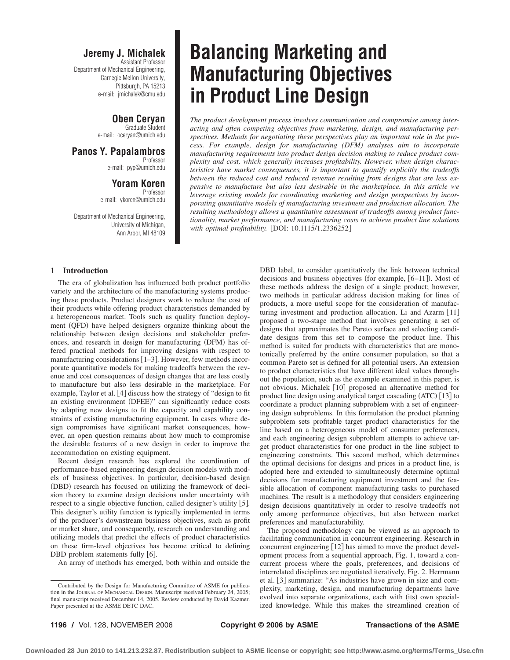### **Jeremy J. Michalek**

Assistant Professor Department of Mechanical Engineering, Carnegie Mellon University, Pittsburgh, PA 15213 e-mail: jmichalek@cmu.edu

### **Oben Ceryan**

Graduate Student e-mail: oceryan@umich.edu

**Panos Y. Papalambros** Professor e-mail: pyp@umich.edu

## **Yoram Koren**

Professor e-mail: ykoren@umich.edu

Department of Mechanical Engineering, University of Michigan, Ann Arbor, MI 48109

### **1 Introduction**

The era of globalization has influenced both product portfolio variety and the architecture of the manufacturing systems producing these products. Product designers work to reduce the cost of their products while offering product characteristics demanded by a heterogeneous market. Tools such as quality function deployment (QFD) have helped designers organize thinking about the relationship between design decisions and stakeholder preferences, and research in design for manufacturing (DFM) has offered practical methods for improving designs with respect to manufacturing considerations [1-3]. However, few methods incorporate quantitative models for making tradeoffs between the revenue and cost consequences of design changes that are less costly to manufacture but also less desirable in the marketplace. For example, Taylor et al. [4] discuss how the strategy of "design to fit an existing environment (DFEE)" can significantly reduce costs by adapting new designs to fit the capacity and capability constraints of existing manufacturing equipment. In cases where design compromises have significant market consequences, however, an open question remains about how much to compromise the desirable features of a new design in order to improve the accommodation on existing equipment.

Recent design research has explored the coordination of performance-based engineering design decision models with models of business objectives. In particular, decision-based design (DBD) research has focused on utilizing the framework of decision theory to examine design decisions under uncertainty with respect to a single objective function, called designer's utility [5]. This designer's utility function is typically implemented in terms of the producer's downstream business objectives, such as profit or market share, and consequently, research on understanding and utilizing models that predict the effects of product characteristics on these firm-level objectives has become critical to defining DBD problem statements fully [6].

An array of methods has emerged, both within and outside the

# **Balancing Marketing and Manufacturing Objectives in Product Line Design**

*The product development process involves communication and compromise among interacting and often competing objectives from marketing, design, and manufacturing perspectives. Methods for negotiating these perspectives play an important role in the process. For example, design for manufacturing (DFM) analyses aim to incorporate manufacturing requirements into product design decision making to reduce product complexity and cost, which generally increases profitability. However, when design characteristics have market consequences, it is important to quantify explicitly the tradeoffs between the reduced cost and reduced revenue resulting from designs that are less expensive to manufacture but also less desirable in the marketplace. In this article we leverage existing models for coordinating marketing and design perspectives by incorporating quantitative models of manufacturing investment and production allocation. The resulting methodology allows a quantitative assessment of tradeoffs among product functionality, market performance, and manufacturing costs to achieve product line solutions* with optimal profitability. [DOI: 10.1115/1.2336252]

> DBD label, to consider quantitatively the link between technical decisions and business objectives (for example, [6-11]). Most of these methods address the design of a single product; however, two methods in particular address decision making for lines of products, a more useful scope for the consideration of manufacturing investment and production allocation. Li and Azarm [11] proposed a two-stage method that involves generating a set of designs that approximates the Pareto surface and selecting candidate designs from this set to compose the product line. This method is suited for products with characteristics that are monotonically preferred by the entire consumer population, so that a common Pareto set is defined for all potential users. An extension to product characteristics that have different ideal values throughout the population, such as the example examined in this paper, is not obvious. Michalek [10] proposed an alternative method for product line design using analytical target cascading (ATC) [13] to coordinate a product planning subproblem with a set of engineering design subproblems. In this formulation the product planning subproblem sets profitable target product characteristics for the line based on a heterogeneous model of consumer preferences, and each engineering design subproblem attempts to achieve target product characteristics for one product in the line subject to engineering constraints. This second method, which determines the optimal decisions for designs and prices in a product line, is adopted here and extended to simultaneously determine optimal decisions for manufacturing equipment investment and the feasible allocation of component manufacturing tasks to purchased machines. The result is a methodology that considers engineering design decisions quantitatively in order to resolve tradeoffs not only among performance objectives, but also between market preferences and manufacturability.

> The proposed methodology can be viewed as an approach to facilitating communication in concurrent engineering. Research in concurrent engineering [12] has aimed to move the product development process from a sequential approach, Fig. 1, toward a concurrent process where the goals, preferences, and decisions of interrelated disciplines are negotiated iteratively, Fig. 2. Herrmann et al. [3] summarize: "As industries have grown in size and complexity, marketing, design, and manufacturing departments have evolved into separate organizations, each with (its) own specialized knowledge. While this makes the streamlined creation of

Contributed by the Design for Manufacturing Committee of ASME for publication in the JOURNAL OF MECHANICAL DESIGN. Manuscript received February 24, 2005; final manuscript received December 14, 2005. Review conducted by David Kazmer. Paper presented at the ASME DETC DAC.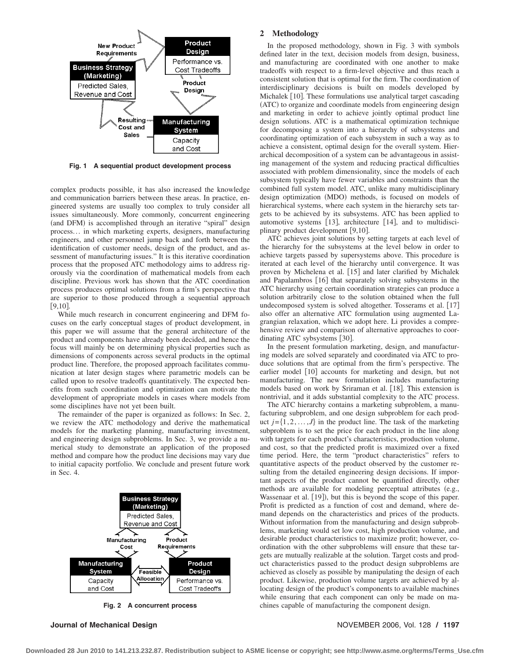

**Fig. 1 A sequential product development process**

complex products possible, it has also increased the knowledge and communication barriers between these areas. In practice, engineered systems are usually too complex to truly consider all issues simultaneously. More commonly, concurrent engineering (and DFM) is accomplished through an iterative "spiral" design process... in which marketing experts, designers, manufacturing engineers, and other personnel jump back and forth between the identification of customer needs, design of the product, and assessment of manufacturing issues." It is this iterative coordination process that the proposed ATC methodology aims to address rigorously via the coordination of mathematical models from each discipline. Previous work has shown that the ATC coordination process produces optimal solutions from a firm's perspective that are superior to those produced through a sequential approach  $[9, 10]$ .

While much research in concurrent engineering and DFM focuses on the early conceptual stages of product development, in this paper we will assume that the general architecture of the product and components have already been decided, and hence the focus will mainly be on determining physical properties such as dimensions of components across several products in the optimal product line. Therefore, the proposed approach facilitates communication at later design stages where parametric models can be called upon to resolve tradeoffs quantitatively. The expected benefits from such coordination and optimization can motivate the development of appropriate models in cases where models from some disciplines have not yet been built.

The remainder of the paper is organized as follows: In Sec. 2, we review the ATC methodology and derive the mathematical models for the marketing planning, manufacturing investment, and engineering design subproblems. In Sec. 3, we provide a numerical study to demonstrate an application of the proposed method and compare how the product line decisions may vary due to initial capacity portfolio. We conclude and present future work in Sec. 4.



**Fig. 2 A concurrent process**

### **2 Methodology**

In the proposed methodology, shown in Fig. 3 with symbols defined later in the text, decision models from design, business, and manufacturing are coordinated with one another to make tradeoffs with respect to a firm-level objective and thus reach a consistent solution that is optimal for the firm. The coordination of interdisciplinary decisions is built on models developed by Michalek [10]. These formulations use analytical target cascading (ATC) to organize and coordinate models from engineering design and marketing in order to achieve jointly optimal product line design solutions. ATC is a mathematical optimization technique for decomposing a system into a hierarchy of subsystems and coordinating optimization of each subsystem in such a way as to achieve a consistent, optimal design for the overall system. Hierarchical decomposition of a system can be advantageous in assisting management of the system and reducing practical difficulties associated with problem dimensionality, since the models of each subsystem typically have fewer variables and constraints than the combined full system model. ATC, unlike many multidisciplinary design optimization (MDO) methods, is focused on models of hierarchical systems, where each system in the hierarchy sets targets to be achieved by its subsystems. ATC has been applied to automotive systems [13], architecture [14], and to multidisciplinary product development [9,10].

ATC achieves joint solutions by setting targets at each level of the hierarchy for the subsystems at the level below in order to achieve targets passed by supersystems above. This procedure is iterated at each level of the hierarchy until convergence. It was proven by Michelena et al. [15] and later clarified by Michalek and Papalambros [16] that separately solving subsystems in the ATC hierarchy using certain coordination strategies can produce a solution arbitrarily close to the solution obtained when the full undecomposed system is solved altogether. Tosserams et al. [17] also offer an alternative ATC formulation using augmented Lagrangian relaxation, which we adopt here. Li provides a comprehensive review and comparison of alternative approaches to coordinating ATC sybsystems [30].

In the present formulation marketing, design, and manufacturing models are solved separately and coordinated via ATC to produce solutions that are optimal from the firm's perspective. The earlier model [10] accounts for marketing and design, but not manufacturing. The new formulation includes manufacturing models based on work by Sriraman et al. [18]. This extension is nontrivial, and it adds substantial complexity to the ATC process.

The ATC hierarchy contains a marketing subproblem, a manufacturing subproblem, and one design subproblem for each product  $j = \{1, 2, ..., J\}$  in the product line. The task of the marketing subproblem is to set the price for each product in the line along with targets for each product's characteristics, production volume, and cost, so that the predicted profit is maximized over a fixed time period. Here, the term "product characteristics" refers to quantitative aspects of the product observed by the customer resulting from the detailed engineering design decisions. If important aspects of the product cannot be quantified directly, other methods are available for modeling perceptual attributes (e.g., Wassenaar et al. [19]), but this is beyond the scope of this paper. Profit is predicted as a function of cost and demand, where demand depends on the characteristics and prices of the products. Without information from the manufacturing and design subproblems, marketing would set low cost, high production volume, and desirable product characteristics to maximize profit; however, coordination with the other subproblems will ensure that these targets are mutually realizable at the solution. Target costs and product characteristics passed to the product design subproblems are achieved as closely as possible by manipulating the design of each product. Likewise, production volume targets are achieved by allocating design of the product's components to available machines while ensuring that each component can only be made on machines capable of manufacturing the component design.

#### **Journal of Mechanical Design** NOVEMBER 2006, Vol. 128 **/ 1197**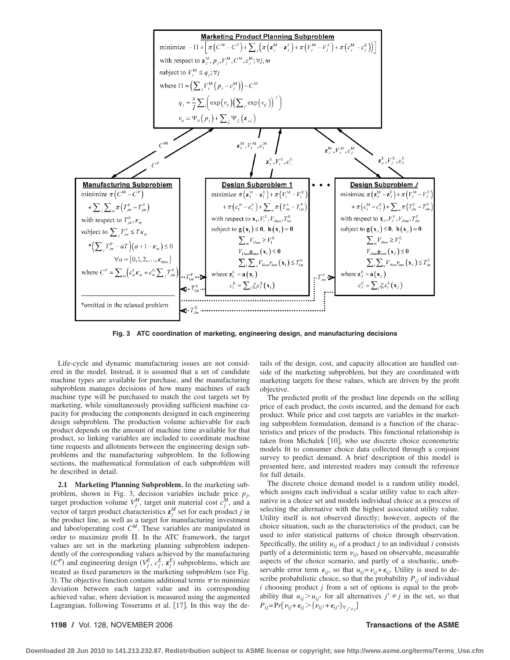

**Fig. 3 ATC coordination of marketing, engineering design, and manufacturing decisions**

Life-cycle and dynamic manufacturing issues are not considered in the model. Instead, it is assumed that a set of candidate machine types are available for purchase, and the manufacturing subproblem manages decisions of how many machines of each machine type will be purchased to match the cost targets set by marketing, while simultaneously providing sufficient machine capacity for producing the components designed in each engineering design subproblem. The production volume achievable for each product depends on the amount of machine time available for that product, so linking variables are included to coordinate machine time requests and allotments between the engineering design subproblems and the manufacturing subproblem. In the following sections, the mathematical formulation of each subproblem will be described in detail.

**2.1 Marketing Planning Subproblem.** In the marketing subproblem, shown in Fig. 3, decision variables include price *pj*, target production volume  $V_j^M$ , target unit material cost  $c_j^M$ , and a vector of target product characteristics  $z_j^M$  set for each product *j* in the product line, as well as a target for manufacturing investment and labor/operating cost *CM*. These variables are manipulated in order to maximize profit  $\Pi$ . In the ATC framework, the target values are set in the marketing planning subproblem independently of the corresponding values achieved by the manufacturing  $(C^P)$  and engineering design  $(V_j^E, c_j^E, \mathbf{z}_j^E)$  subproblems, which are treated as fixed parameters in the marketing subproblem (see Fig. 3). The objective function contains additional terms  $\pi$  to minimize deviation between each target value and its corresponding achieved value, where deviation is measured using the augmented Lagrangian, following Tosserams et al. [17]. In this way the details of the design, cost, and capacity allocation are handled outside of the marketing subproblem, but they are coordinated with marketing targets for these values, which are driven by the profit objective.

The predicted profit of the product line depends on the selling price of each product, the costs incurred, and the demand for each product. While price and cost targets are variables in the marketing subproblem formulation, demand is a function of the characteristics and prices of the products. This functional relationship is taken from Michalek [10], who use discrete choice econometric models fit to consumer choice data collected through a conjoint survey to predict demand. A brief description of this model is presented here, and interested readers may consult the reference for full details.

The discrete choice demand model is a random utility model, which assigns each individual a scalar utility value to each alternative in a choice set and models individual choice as a process of selecting the alternative with the highest associated utility value. Utility itself is not observed directly; however, aspects of the choice situation, such as the characteristics of the product, can be used to infer statistical patterns of choice through observation. Specifically, the utility  $u_{ij}$  of a product *j* to an individual *i* consists partly of a deterministic term  $v_{ij}$ , based on observable, measurable aspects of the choice scenario, and partly of a stochastic, unobservable error term  $\epsilon_{ij}$ , so that  $u_{ij} = v_{ij} + \epsilon_{ij}$ . Utility is used to describe probabilistic choice, so that the probability  $P_{ij}$  of individual *i* choosing product *j* from a set of options is equal to the probability that  $u_{ij} > u_{ij'}$  for all alternatives  $j' \neq j$  in the set, so that  $P_{ij} = Pr[v_{ij} + \epsilon_{ij}] > \{v_{ij'} + \epsilon_{ij'}\}_{\forall_{j'} \neq j}]$ 

### **1198 /** Vol. 128, NOVEMBER 2006 **Transactions of the ASME**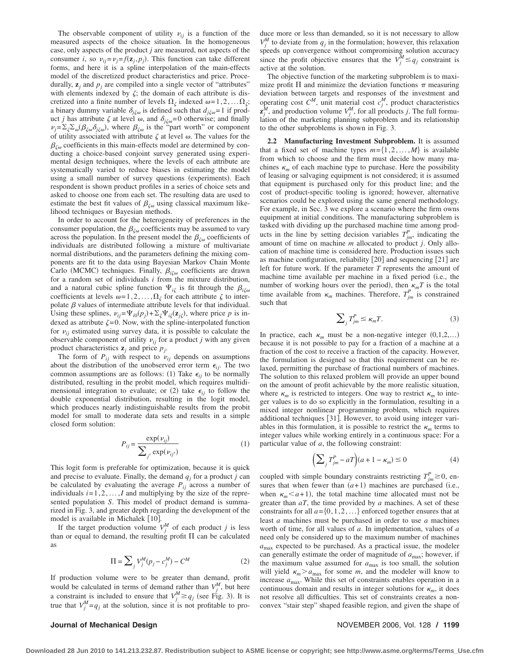The observable component of utility  $v_{ij}$  is a function of the measured aspects of the choice situation. In the homogeneous case, only aspects of the product *j* are measured, not aspects of the consumer *i*, so  $v_{ij} = v_j = f(\mathbf{z}_j, p_j)$ . This function can take different forms, and here it is a spline interpolation of the main-effects model of the discretized product characteristics and price. Procedurally,  $z_j$  and  $p_j$  are compiled into a single vector of "attributes" with elements indexed by  $\zeta$ ; the domain of each attribute is discretized into a finite number of levels  $\Omega_{\zeta}$  indexed  $\omega = 1, 2, \dots \Omega_{\zeta}$ ; a binary dummy variable  $\delta_{i\zeta\omega}$  is defined such that  $d_{i\zeta\omega} = 1$  if product *j* has attribute  $\zeta$  at level  $\omega$ , and  $\delta_{j\zeta\omega}$ =0 otherwise; and finally  $\nu_j = \sum_{\zeta} \sum_{\omega} (\beta_{\zeta \omega} \delta_{j\zeta \omega})$ , where  $\beta_{\zeta \omega}$  is the "part worth" or component of utility associated with attribute  $\zeta$  at level  $\omega$ . The values for the  $\beta_{\zeta\omega}$  coefficients in this main-effects model are determined by conducting a choice-based conjoint survey generated using experimental design techniques, where the levels of each attribute are systematically varied to reduce biases in estimating the model using a small number of survey questions (experiments). Each respondent is shown product profiles in a series of choice sets and asked to choose one from each set. The resulting data are used to estimate the best fit values of  $\beta_{\zeta\omega}$  using classical maximum likelihood techniques or Bayesian methods.

In order to account for the heterogeneity of preferences in the consumer population, the  $\beta_{\zeta\omega}$  coefficients may be assumed to vary across the population. In the present model the  $\beta_{\zeta\omega}$  coefficients of individuals are distributed following a mixture of multivariate normal distributions, and the parameters defining the mixing components are fit to the data using Bayesian Markov Chain Monte Carlo (MCMC) techniques. Finally,  $\beta_{i\zeta\omega}$  coefficients are drawn for a random set of individuals *i* from the mixture distribution, and a natural cubic spline function  $\Psi_{i\zeta}$  is fit through the  $\beta_{i\zeta\omega}$ coefficients at levels  $\omega = 1, 2, \dots, \Omega_{\zeta}$  for each attribute  $\zeta$  to interpolate  $\beta$  values of intermediate attribute levels for that individual. Using these splines,  $v_{ij} = \Psi_{i0}(p_j) + \Sigma_{\zeta} \Psi_{i\zeta}(\mathbf{z}_{i\zeta})$ , where price p is indexed as attribute  $\zeta = 0$ . Now, with the spline-interpolated function for  $v_{ij}$  estimated using survey data, it is possible to calculate the observable component of utility  $v_{ij}$  for a product *j* with any given product characteristics  $z_j$  and price  $p_j$ .

The form of  $P_{ij}$  with respect to  $\nu_{ij}$  depends on assumptions about the distribution of the unobserved error term  $\epsilon_{ij}$ . The two common assumptions are as follows: (1) Take  $\epsilon_{ij}$  to be normally distributed, resulting in the probit model, which requires multidimensional integration to evaluate; or (2) take  $\epsilon_{ij}$  to follow the double exponential distribution, resulting in the logit model, which produces nearly indistinguishable results from the probit model for small to moderate data sets and results in a simple closed form solution:

$$
P_{ij} = \frac{\exp(v_{ij})}{\sum_{j'} \exp(v_{ij'})}
$$
 (1)

This logit form is preferable for optimization, because it is quick and precise to evaluate. Finally, the demand  $q_i$  for a product *j* can be calculated by evaluating the average  $P_{ij}$  across a number of individuals  $i=1,2,...,I$  and multiplying by the size of the represented population *S*. This model of product demand is summarized in Fig. 3, and greater depth regarding the development of the model is available in Michalek [10].

If the target production volume  $V_j^M$  of each product *j* is less than or equal to demand, the resulting profit  $\Pi$  can be calculated as

$$
\Pi = \sum_{j} V_{j}^{M} (p_{j} - c_{j}^{M}) - C^{M}
$$
 (2)

If production volume were to be greater than demand, profit would be calculated in terms of demand rather than  $V_j^M$ , but here a constraint is included to ensure that  $V_j^M \ge q_j$  (see Fig. 3). It is true that  $V_j^M = q_j$  at the solution, since it is not profitable to pro-

### duce more or less than demanded, so it is not necessary to allow  $V_j^M$  to deviate from  $q_j$  in the formulation; however, this relaxation speeds up convergence without compromising solution accuracy since the profit objective ensures that the  $V_j^M \leq q_j$  constraint is active at the solution.

The objective function of the marketing subproblem is to maximize profit  $\Pi$  and minimize the deviation functions  $\pi$  measuring deviation between targets and responses of the investment and operating cost  $C^M$ , unit material cost  $c_j^M$ , product characteristics  $\mathbf{z}^M_j$ , and production volume  $V^M_j$ , for all products *j*. The full formulation of the marketing planning subproblem and its relationship to the other subproblems is shown in Fig. 3.

**2.2 Manufacturing Investment Subproblem.** It is assumed that a fixed set of machine types  $m = \{1, 2, ..., M\}$  is available from which to choose and the firm must decide how many machines  $\kappa_m$  of each machine type to purchase. Here the possibility of leasing or salvaging equipment is not considered; it is assumed that equipment is purchased only for this product line; and the cost of product-specific tooling is ignored; however, alternative scenarios could be explored using the same general methodology. For example, in Sec. 3 we explore a scenario where the firm owns equipment at initial conditions. The manufacturing subproblem is tasked with dividing up the purchased machine time among products in the line by setting decision variables  $T_{jm}^P$ , indicating the amount of time on machine *m* allocated to product *j*. Only allocation of machine time is considered here. Production issues such as machine configuration, reliability [20] and sequencing [21] are left for future work. If the parameter *T* represents the amount of machine time available per machine in a fixed period (i.e., the number of working hours over the period), then  $\kappa_m T$  is the total time available from  $\kappa_m$  machines. Therefore,  $T_{jm}^P$  is constrained such that

$$
\sum_{j} T_{jm}^{P} \le \kappa_m T. \tag{3}
$$

In practice, each  $\kappa_m$  must be a non-negative integer  $(0,1,2,...)$ because it is not possible to pay for a fraction of a machine at a fraction of the cost to receive a fraction of the capacity. However, the formulation is designed so that this requirement can be relaxed, permitting the purchase of fractional numbers of machines. The solution to this relaxed problem will provide an upper bound on the amount of profit achievable by the more realistic situation, where  $\kappa_m$  is restricted to integers. One way to restrict  $\kappa_m$  to integer values is to do so explicitly in the formulation, resulting in a mixed integer nonlinear programming problem, which requires additional techniques [31]. However, to avoid using integer variables in this formulation, it is possible to restrict the  $\kappa_m$  terms to integer values while working entirely in a continuous space: For a particular value of *a*, the following constraint:

$$
\left(\sum_{j} T_{jm}^{P} - aT\right)(a+1-\kappa_{m}) \le 0\tag{4}
$$

coupled with simple boundary constraints restricting  $T_{jm}^P \ge 0$ , ensures that when fewer than  $(a+1)$  machines are purchased (i.e., when  $\kappa_m < a+1$ , the total machine time allocated must not be greater than *aT*, the time provided by *a* machines. A set of these constraints for all  $a = \{0, 1, 2, \ldots\}$  enforced together ensures that at least *a* machines must be purchased in order to use *a* machines worth of time, for all values of *a*. In implementation, values of *a* need only be considered up to the maximum number of machines *a*max expected to be purchased. As a practical issue, the modeler can generally estimate the order of magnitude of  $a_{\text{max}}$ ; however, if the maximum value assumed for  $a_{\text{max}}$  is too small, the solution will yield  $\kappa_m > a_{\text{max}}$  for some *m*, and the modeler will know to increase *a*max. While this set of constraints enables operation in a continuous domain and results in integer solutions for  $\kappa_m$ , it does not resolve all difficulties. This set of constraints creates a nonconvex "stair step" shaped feasible region, and given the shape of

#### **Journal of Mechanical Design** November 2006, Vol. 128 / 1199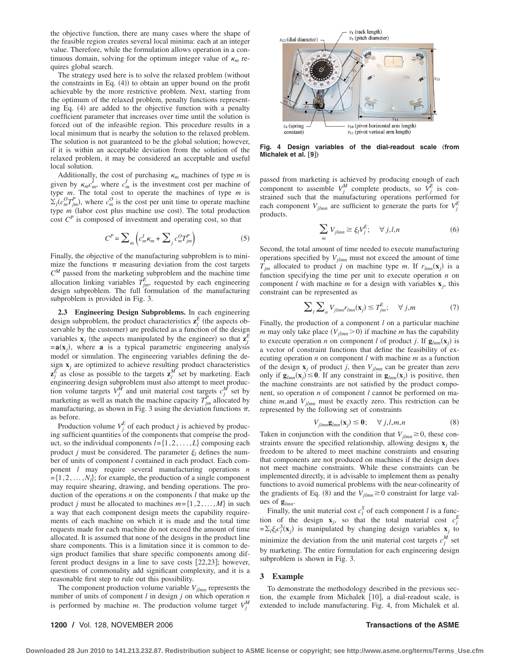the objective function, there are many cases where the shape of the feasible region creates several local minima: each at an integer value. Therefore, while the formulation allows operation in a continuous domain, solving for the optimum integer value of  $\kappa_m$  requires global search.

The strategy used here is to solve the relaxed problem (without the constraints in Eq.  $(4)$ ) to obtain an upper bound on the profit achievable by the more restrictive problem. Next, starting from the optimum of the relaxed problem, penalty functions representing Eq.  $(4)$  are added to the objective function with a penalty coefficient parameter that increases over time until the solution is forced out of the infeasible region. This procedure results in a local minimum that is nearby the solution to the relaxed problem. The solution is not guaranteed to be the global solution; however, if it is within an acceptable deviation from the solution of the relaxed problem, it may be considered an acceptable and useful local solution.

Additionally, the cost of purchasing  $\kappa_m$  machines of type *m* is given by  $\kappa_m c_m^I$ , where  $c_m^I$  is the investment cost per machine of type *m*. The total cost to operate the machines of type *m* is  $\Sigma_j(c_m^0 T_{jm}^P)$ , where  $c_m^O$  is the cost per unit time to operate machine type *m* (labor cost plus machine use cost). The total production cost  $C^P$  is composed of investment and operating cost, so that

$$
C^{P} = \sum_{m} \left( c_{m}^{I} \kappa_{m} + \sum_{j} c_{m}^{O} T_{jm}^{P} \right) \tag{5}
$$

Finally, the objective of the manufacturing subproblem is to minimize the functions  $\pi$  measuring deviation from the cost targets *C<sup>M</sup>* passed from the marketing subproblem and the machine time allocation linking variables  $T_{jm}^E$ , requested by each engineering design subproblem. The full formulation of the manufacturing subproblem is provided in Fig. 3.

**2.3 Engineering Design Subproblems.** In each engineering design subproblem, the product characteristics  $\mathbf{z}_j^E$  (the aspects observable by the customer) are predicted as a function of the design variables  $\mathbf{x}_j$  (the aspects manipulated by the engineer) so that  $\mathbf{z}_j^E$  $= a(x_i)$ , where **a** is a typical parametric engineering analysis model or simulation. The engineering variables defining the design  $\mathbf{x}_j$  are optimized to achieve resulting product characteristics  $z_j^E$  as close as possible to the targets  $z_j^M$  set by marketing. Each engineering design subproblem must also attempt to meet production volume targets  $V_j^{\tilde{M}}$  and unit material cost targets  $c_j^{\tilde{M}}$  set by marketing as well as match the machine capacity  $T_{jm}^P$  allocated by manufacturing, as shown in Fig. 3 using the deviation functions  $\pi$ , as before.

Production volume  $V_j^E$  of each product *j* is achieved by producing sufficient quantities of the components that comprise the product, so the individual components  $l = \{1, 2, \ldots, L\}$  composing each product *j* must be considered. The parameter  $\xi$  defines the number of units of component *l* contained in each product. Each component *l* may require several manufacturing operations *n*  $=\{1,2,\ldots,N_l\}$ ; for example, the production of a single component may require shearing, drawing, and bending operations. The production of the operations *n* on the components *l* that make up the product *j* must be allocated to machines  $m = \{1, 2, ..., M\}$  in such a way that each component design meets the capability requirements of each machine on which it is made and the total time requests made for each machine do not exceed the amount of time allocated. It is assumed that none of the designs in the product line share components. This is a limitation since it is common to design product families that share specific components among different product designs in a line to save costs  $[22,23]$ ; however, questions of commonality add significant complexity, and it is a reasonable first step to rule out this possibility.

The component production volume variable  $V_{jlmn}$  represents the number of units of component *l* in design *j* on which operation *n* is performed by machine *m*. The production volume target  $V_j^M$ 



Fig. 4 Design variables of the dial-readout scale (from **Michalek et al.** [9])

passed from marketing is achieved by producing enough of each component to assemble  $V_j^M$  complete products, so  $V_j^E$  is constrained such that the manufacturing operations performed for each component  $V_{jlmn}$  are sufficient to generate the parts for  $V_j^E$ products.

$$
\sum_{m} V_{jlmn} \ge \xi_l V_j^E; \quad \forall j, l, n \tag{6}
$$

Second, the total amount of time needed to execute manufacturing operations specified by *Vjlmn* must not exceed the amount of time  $T_{jm}$  allocated to product *j* on machine type *m*. If  $r_{lmn}(\mathbf{x}_i)$  is a function specifying the time per unit to execute operation *n* on component *l* with machine *m* for a design with variables  $\mathbf{x}_i$ , this constraint can be represented as

$$
\sum_{l} \sum_{n} V_{jlmn} r_{lmn}(\mathbf{x}_j) \le T_{jm}^E; \quad \forall j, m \tag{7}
$$

Finally, the production of a component *l* on a particular machine *m* may only take place  $(V_{jlmn}>0)$  if machine *m* has the capability to execute operation *n* on component *l* of product *j*. If  $\mathbf{g}_{lmn}(\mathbf{x}_i)$  is a vector of constraint functions that define the feasibility of executing operation *n* on component *l* with machine *m* as a function of the design  $\mathbf{x}_j$  of product *j*, then  $V_{jlmn}$  can be greater than zero only if  $\mathbf{g}_{lmn}(\mathbf{x}_i) \leq 0$ . If any constraint in  $\mathbf{g}_{lmn}(\mathbf{x}_i)$  is positive, then the machine constraints are not satisfied by the product component, so operation *n* of component *l* cannot be performed on machine *m*,and *Vjlmn* must be exactly zero. This restriction can be represented by the following set of constraints

$$
V_{jlmn}\mathbf{g}_{lmn}(\mathbf{x}_j) \le \mathbf{0}; \quad \forall j, l, m, n \tag{8}
$$

Taken in conjunction with the condition that  $V_{jlmn} \geq 0$ , these constraints ensure the specified relationship, allowing designs  $\mathbf{x}_i$  the freedom to be altered to meet machine constraints and ensuring that components are not produced on machines if the design does not meet machine constraints. While these constraints can be implemented directly, it is advisable to implement them as penalty functions to avoid numerical problems with the near-colinearity of the gradients of Eq. (8) and the  $V_{jlmn} \ge 0$  constraint for large values of **g***lmn*.

Finally, the unit material cost  $c_l^S$  of each component *l* is a function of the design  $\mathbf{x}_j$ , so that the total material cost  $c_j^E$  $=\sum_l \xi_l c_l^S(\mathbf{x}_j)$  is manipulated by changing design variables  $\mathbf{x}_j$  to minimize the deviation from the unit material cost targets  $c_j^M$  set by marketing. The entire formulation for each engineering design subproblem is shown in Fig. 3.

### **3 Example**

To demonstrate the methodology described in the previous section, the example from Michalek [10], a dial-readout scale, is extended to include manufacturing. Fig. 4, from Michalek et al.

### **1200 /** Vol. 128, NOVEMBER 2006 **Transactions of the ASME**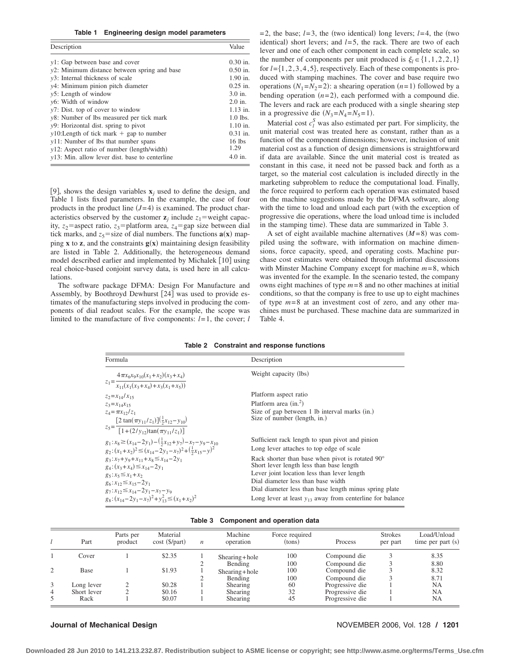**Table 1 Engineering design model parameters**

| Description                                     | Value      |
|-------------------------------------------------|------------|
| $v1$ : Gap between base and cover               | $0.30$ in. |
| $v2$ : Minimum distance between spring and base | $0.50$ in. |
| y3: Internal thickness of scale                 | 1.90 in.   |
| y4: Minimum pinion pitch diameter               | $0.25$ in. |
| $v5$ : Length of window                         | $3.0$ in.  |
| $v6$ : Width of window                          | $2.0$ in.  |
| $v7$ : Dist. top of cover to window             | $1.13$ in. |
| y8: Number of lbs measured per tick mark        | $1.0$ lbs. |
| y9: Horizontal dist. spring to pivot            | $1.10$ in. |
| $y10$ : Length of tick mark $+$ gap to number   | $0.31$ in. |
| $v11$ : Number of lbs that number spans         | $16$ lbs   |
| $y12$ : Aspect ratio of number (length/width)   | 1.29       |
| y13: Min. allow lever dist. base to centerline  | $4.0$ in.  |

[9], shows the design variables  $\mathbf{x}_j$  used to define the design, and Table 1 lists fixed parameters. In the example, the case of four products in the product line  $(J=4)$  is examined. The product characteristics observed by the customer  $z_i$  include  $z_1$ =weight capacity,  $z_2$ =aspect ratio,  $z_3$ =platform area,  $z_4$ =gap size between dial tick marks, and  $z_5$ =size of dial numbers. The functions  $\mathbf{a}(\mathbf{x})$  mapping **x** to **z**, and the constraints  $g(x)$  maintaining design feasibility are listed in Table 2. Additionally, the heterogeneous demand model described earlier and implemented by Michalek [10] using real choice-based conjoint survey data, is used here in all calculations.

The software package DFMA: Design For Manufacture and Assembly, by Boothroyd Dewhurst [24] was used to provide estimates of the manufacturing steps involved in producing the components of dial readout scales. For the example, the scope was limited to the manufacture of five components: *l*= 1, the cover; *l*

 $= 2$ , the base;  $l = 3$ , the (two identical) long levers;  $l = 4$ , the (two identical) short levers; and  $l=5$ , the rack. There are two of each lever and one of each other component in each complete scale, so the number of components per unit produced is  $\xi_l \in \{1, 1, 2, 2, 1\}$ for *l*=1,2,3,4,5, respectively. Each of these components is produced with stamping machines. The cover and base require two operations  $(N_1 = N_2 = 2)$ : a shearing operation  $(n=1)$  followed by a bending operation  $(n=2)$ , each performed with a compound die. The levers and rack are each produced with a single shearing step in a progressive die  $(N_3=N_4=N_5=1)$ .

Material cost  $c_l^S$  was also estimated per part. For simplicity, the unit material cost was treated here as constant, rather than as a function of the component dimensions; however, inclusion of unit material cost as a function of design dimensions is straightforward if data are available. Since the unit material cost is treated as constant in this case, it need not be passed back and forth as a target, so the material cost calculation is included directly in the marketing subproblem to reduce the computational load. Finally, the force required to perform each operation was estimated based on the machine suggestions made by the DFMA software, along with the time to load and unload each part (with the exception of progressive die operations, where the load unload time is included in the stamping time). These data are summarized in Table 3.

A set of eight available machine alternatives  $(M=8)$  was compiled using the software, with information on machine dimensions, force capacity, speed, and operating costs. Machine purchase cost estimates were obtained through informal discussions with Minster Machine Company except for machine *m*= 8, which was invented for the example. In the scenario tested, the company owns eight machines of type *m*= 8 and no other machines at initial conditions, so that the company is free to use up to eight machines of type *m*= 8 at an investment cost of zero, and any other machines must be purchased. These machine data are summarized in Table 4.

#### **Table 2 Constraint and response functions**

| Formula                                                                                                 | Description                                                                                           |
|---------------------------------------------------------------------------------------------------------|-------------------------------------------------------------------------------------------------------|
|                                                                                                         | Weight capacity (lbs)                                                                                 |
| $z_1 = \frac{4\pi x_6 x_9 x_{10}(x_1+x_2)(x_3+x_4)}{x_{11}(x_1(x_3+x_4)+x_3(x_1+x_5))}$                 |                                                                                                       |
| $z_2 = x_{14}/x_{15}$                                                                                   | Platform aspect ratio                                                                                 |
| $z_3 = x_{14}x_{15}$                                                                                    | Platform area $(in.^2)$                                                                               |
| $z_4 = \pi x_{12}/z_1$                                                                                  | Size of gap between 1 lb interval marks (in.)<br>Size of number (length, in.)                         |
| $z_5 = \frac{[2 \tan(\pi y_{11}/z_1)](\frac{1}{2}x_{12}-y_{10})}{[1 + (2/y_{12})\tan(\pi y_{11}/z_1)]}$ |                                                                                                       |
| $g_1: x_8 \ge (x_{14}-2y_1) - (\frac{1}{2}x_{12}+y_7) - x_7 - y_9 - x_{10}$                             | Sufficient rack length to span pivot and pinion                                                       |
| $g_2:(x_1+x_2)^2\leq (x_{14}-2y_1-x_7)^2+(\frac{1}{2}x_{15}-y)^2$                                       | Long lever attaches to top edge of scale                                                              |
| $g_3: x_7 + y_9 + x_{11} + x_8 \le x_{14} - 2y_1$<br>$g_4$ : $(x_3 + x_4) \le x_{14} - 2y_1$            | Rack shorter than base when pivot is rotated $90^{\circ}$<br>Short lever length less than base length |
| $g_5: x_5 \leq x_1 + x_2$                                                                               | Lever joint location less than lever length                                                           |
| $g_6: x_{12} \le x_{15} - 2y_1$                                                                         | Dial diameter less than base width                                                                    |
| $g_7: x_{12} \le x_{14}-2y_1-x_7-y_9$                                                                   | Dial diameter less than base length minus spring plate                                                |
| $g_8: (x_{14}-2y_1-x_7)^2+y_{12}^2 \leq (x_1+x_2)^2$                                                    | Long lever at least $y_{13}$ away from centerline for balance                                         |

| Table 3 | Component and operation data |  |  |  |
|---------|------------------------------|--|--|--|
|---------|------------------------------|--|--|--|

|   | Part        | Parts per<br>product | Material<br>$cost$ ( $\frac{5}{part}$ ) | $\boldsymbol{n}$ | Machine<br>operation | Force required<br>(tons) | Process         | <b>Strokes</b><br>per part | Load/Unload<br>time per part (s) |
|---|-------------|----------------------|-----------------------------------------|------------------|----------------------|--------------------------|-----------------|----------------------------|----------------------------------|
|   | Cover       |                      | \$2.35                                  |                  | $Shearing + hole$    | 100                      | Compound die    |                            | 8.35                             |
|   |             |                      |                                         |                  | Bending              | 100                      | Compound die    |                            | 8.80                             |
| 2 | Base        |                      | \$1.93                                  |                  | $Shearing + hole$    | 100                      | Compound die    |                            | 8.32                             |
|   |             |                      |                                         |                  | Bending              | 100                      | Compound die    |                            | 8.71                             |
| 3 | Long lever  |                      | \$0.28                                  |                  | Shearing             | 60                       | Progressive die |                            | NA                               |
| 4 | Short lever |                      | \$0.16                                  |                  | <b>Shearing</b>      | 32                       | Progressive die |                            | NA                               |
| 5 | Rack        |                      | \$0.07                                  |                  | Shearing             | 45                       | Progressive die |                            | NA                               |

#### **Journal of Mechanical Design** November 2006, Vol. 128 **/ 1201**

**Downloaded 28 Jun 2010 to 141.213.232.87. Redistribution subject to ASME license or copyright; see http://www.asme.org/terms/Terms\_Use.cfm**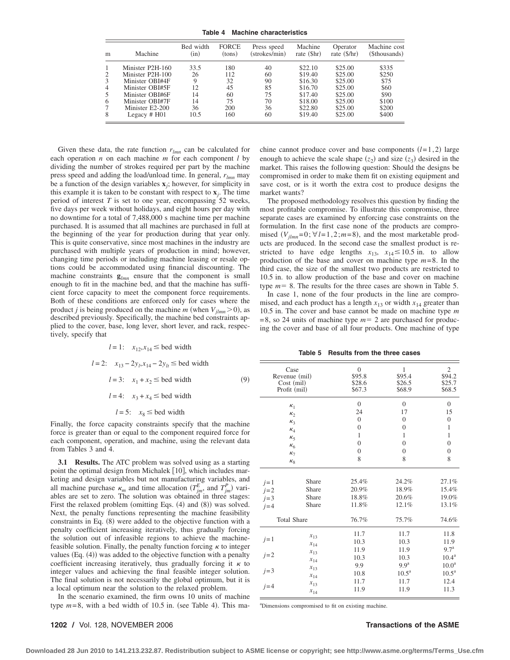**Table 4 Machine characteristics**

| m | Machine          | Bed width<br>(in) | <b>FORCE</b><br>(tons) | Press speed<br>(strokes/min) | Machine<br>rate (\$hr) | Operator<br>rate $(\frac{5}{hr})$ | Machine cost<br>(\$thousands) |
|---|------------------|-------------------|------------------------|------------------------------|------------------------|-----------------------------------|-------------------------------|
|   | Minister P2H-160 | 33.5              | 180                    | 40                           | \$22.10                | \$25.00                           | \$335                         |
|   | Minister P2H-100 | 26                | 112                    | 60                           | \$19.40                | \$25.00                           | \$250                         |
|   | Minister OBI#4F  | 9                 | 32                     | 90                           | \$16.30                | \$25.00                           | \$75                          |
| 4 | Minister OBI#5F  | 12                | 45                     | 85                           | \$16.70                | \$25.00                           | \$60                          |
|   | Minister OBI#6F  | $\overline{14}$   | 60                     | 75                           | \$17.40                | \$25.00                           | \$90                          |
| 6 | Minister OBI#7F  | 14                | 75                     | 70                           | \$18.00                | \$25.00                           | \$100                         |
|   | Minister E2-200  | 36                | 200                    | 36                           | \$22.80                | \$25.00                           | \$200                         |
| 8 | Legacy $# H01$   | 10.5              | 160                    | 60                           | \$19.40                | \$25.00                           | \$400                         |

Given these data, the rate function *rlmn* can be calculated for each operation *n* on each machine *m* for each component *l* by dividing the number of strokes required per part by the machine press speed and adding the load/unload time. In general, *rlmn* may be a function of the design variables **x***j*; however, for simplicity in this example it is taken to be constant with respect to  $\mathbf{x}_i$ . The time period of interest *T* is set to one year, encompassing 52 weeks, five days per week without holidays, and eight hours per day with no downtime for a total of 7,488,000 s machine time per machine purchased. It is assumed that all machines are purchased in full at the beginning of the year for production during that year only. This is quite conservative, since most machines in the industry are purchased with multiple years of production in mind; however, changing time periods or including machine leasing or resale options could be accommodated using financial discounting. The machine constraints  $\mathbf{g}_{lmn}$  ensure that the component is small enough to fit in the machine bed, and that the machine has sufficient force capacity to meet the component force requirements. Both of these conditions are enforced only for cases where the product *j* is being produced on the machine *m* (when  $V_{jlmn}$  > 0), as described previously. Specifically, the machine bed constraints applied to the cover, base, long lever, short lever, and rack, respectively, specify that

 $l = 1$ :  $x_{12}, x_{14} \leq$  bed width

*l* = 2:  $x_{13} - 2y_l$ ,  $x_{14} - 2y_l$  ≤ bed width *l* = 3:  $x_1 + x_2 \leq$  bed width (9)  $l = 4$ :  $x_3 + x_4 \leq$  bed width

 $l = 5$ :  $x_8 \leq$  bed width

Finally, the force capacity constraints specify that the machine force is greater than or equal to the component required force for each component, operation, and machine, using the relevant data from Tables 3 and 4.

**3.1 Results.** The ATC problem was solved using as a starting point the optimal design from Michalek [10], which includes marketing and design variables but not manufacturing variables, and all machine purchase  $\kappa_m$  and time allocation  $(T_{jm}^E$ , and  $T_{jm}^P$ ) variables are set to zero. The solution was obtained in three stages: First the relaxed problem (omitting Eqs. (4) and (8)) was solved. Next, the penalty functions representing the machine feasibility constraints in Eq.  $(8)$  were added to the objective function with a penalty coefficient increasing iteratively, thus gradually forcing the solution out of infeasible regions to achieve the machinefeasible solution. Finally, the penalty function forcing  $\kappa$  to integer values  $(Eq. (4))$  was added to the objective function with a penalty coefficient increasing iteratively, thus gradually forcing it  $\kappa$  to integer values and achieving the final feasible integer solution. The final solution is not necessarily the global optimum, but it is a local optimum near the solution to the relaxed problem.

In the scenario examined, the firm owns 10 units of machine type  $m=8$ , with a bed width of 10.5 in. (see Table 4). This machine cannot produce cover and base components  $(l=1,2)$  large enough to achieve the scale shape  $(z_2)$  and size  $(z_3)$  desired in the market. This raises the following question: Should the designs be compromised in order to make them fit on existing equipment and save cost, or is it worth the extra cost to produce designs the market wants?

The proposed methodology resolves this question by finding the most profitable compromise. To illustrate this compromise, three separate cases are examined by enforcing case constraints on the formulation. In the first case none of the products are compromised  $(V_{jlmn}=0; \forall l=1,2; m=8)$ , and the most marketable products are produced. In the second case the smallest product is restricted to have edge lengths  $x_{13}$ ,  $x_{14} \le 10.5$  in. to allow production of the base and cover on machine type *m*= 8. In the third case, the size of the smallest two products are restricted to 10.5 in. to allow production of the base and cover on machine type  $m = 8$ . The results for the three cases are shown in Table 5.

In case 1, none of the four products in the line are compromised, and each product has a length  $x_{13}$  or width  $x_{14}$  greater than 10.5 in. The cover and base cannot be made on machine type *m*  $= 8$ , so 24 units of machine type  $m = 2$  are purchased for producing the cover and base of all four products. One machine of type

**Table 5 Results from the three cases**

| Case<br>Revenue (mil)<br>Profit (mil) | Cost (mil)                                                                       | $\overline{0}$<br>\$95.8<br>\$28.6<br>\$67.3                                         | 1<br>\$95.4<br>\$26.5<br>\$68.9                                                                        | $\overline{2}$<br>\$94.2<br>\$25.7<br>\$68.5                                                                    |
|---------------------------------------|----------------------------------------------------------------------------------|--------------------------------------------------------------------------------------|--------------------------------------------------------------------------------------------------------|-----------------------------------------------------------------------------------------------------------------|
| $K_1$<br>$\kappa_2$                   | $K_3$<br>$\kappa_4$<br>$K_5$<br>$\kappa_6$<br>K <sub>7</sub><br>$\kappa_8$       | $\overline{0}$<br>24<br>$\overline{0}$<br>$\theta$<br>1<br>$\theta$<br>$\theta$<br>8 | $\overline{0}$<br>17<br>$\overline{0}$<br>$\overline{0}$<br>1<br>$\overline{0}$<br>$\overline{0}$<br>8 | $\overline{0}$<br>15<br>$\overline{0}$<br>$\mathbf{1}$<br>$\mathbf{1}$<br>$\overline{0}$<br>$\overline{0}$<br>8 |
| $j=1$<br>$i=2$<br>$j=3$<br>$i = 4$    | Share<br>Share<br>Share<br>Share                                                 | 25.4%<br>20.9%<br>18.8%<br>11.8%                                                     | 24.2%<br>18.9%<br>20.6%<br>12.1%                                                                       | 27.1%<br>15.4%<br>19.0%<br>13.1%                                                                                |
| <b>Total Share</b>                    |                                                                                  | 76.7%                                                                                | 75.7%                                                                                                  | 74.6%                                                                                                           |
| $j=1$<br>$j=2$<br>$j=3$<br>$j=4$      | $x_{13}$<br>$x_{14}$<br>$x_{13}$<br>$x_{14}$<br>$x_{13}$<br>$x_{14}$<br>$x_{13}$ | 11.7<br>10.3<br>11.9<br>10.3<br>9.9<br>10.8<br>11.7                                  | 11.7<br>10.3<br>11.9<br>10.3<br>9.9 <sup>a</sup><br>$10.5^{\rm a}$<br>11.7                             | 11.8<br>11.9<br>$9.7^{\mathrm{a}}$<br>$10.4^{\rm a}$<br>10.0 <sup>a</sup><br>10.5 <sup>a</sup><br>12.4          |
|                                       | $x_{14}$                                                                         | 11.9                                                                                 | 11.9                                                                                                   | 11.3                                                                                                            |

a Dimensions compromised to fit on existing machine.

#### **1202 /** Vol. 128, NOVEMBER 2006 **Transactions of the ASME**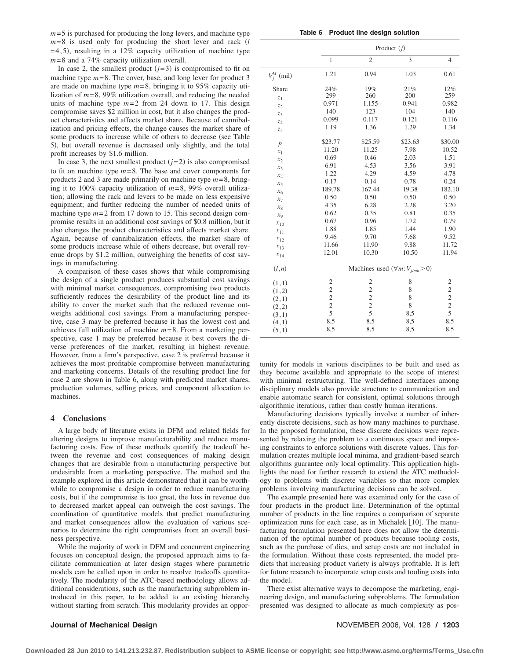$m=$  5 is purchased for producing the long levers, and machine type *m*= 8 is used only for producing the short lever and rack *l*  $=4,5$ , resulting in a 12% capacity utilization of machine type *m*= 8 and a 74% capacity utilization overall.

In case 2, the smallest product  $(j=3)$  is compromised to fit on machine type  $m=8$ . The cover, base, and long lever for product 3 are made on machine type *m*= 8, bringing it to 95% capacity utilization of *m*= 8, 99% utilization overall, and reducing the needed units of machine type  $m=2$  from 24 down to 17. This design compromise saves \$2 million in cost, but it also changes the product characteristics and affects market share. Because of cannibalization and pricing effects, the change causes the market share of some products to increase while of others to decrease (see Table 5, but overall revenue is decreased only slightly, and the total profit increases by \$1.6 million.

In case 3, the next smallest product  $(j=2)$  is also compromised to fit on machine type *m*= 8. The base and cover components for products 2 and 3 are made primarily on machine type *m*= 8, bringing it to 100% capacity utilization of *m*= 8, 99% overall utilization; allowing the rack and levers to be made on less expensive equipment; and further reducing the number of needed units of machine type  $m=2$  from 17 down to 15. This second design compromise results in an additional cost savings of \$0.8 million, but it also changes the product characteristics and affects market share. Again, because of cannibalization effects, the market share of some products increase while of others decrease, but overall revenue drops by \$1.2 million, outweighing the benefits of cost savings in manufacturing.

A comparison of these cases shows that while compromising the design of a single product produces substantial cost savings with minimal market consequences, compromising two products sufficiently reduces the desirability of the product line and its ability to cover the market such that the reduced revenue outweighs additional cost savings. From a manufacturing perspective, case 3 may be preferred because it has the lowest cost and achieves full utilization of machine *m*= 8. From a marketing perspective, case 1 may be preferred because it best covers the diverse preferences of the market, resulting in highest revenue. However, from a firm's perspective, case 2 is preferred because it achieves the most profitable compromise between manufacturing and marketing concerns. Details of the resulting product line for case 2 are shown in Table 6, along with predicted market shares, production volumes, selling prices, and component allocation to machines.

#### **4 Conclusions**

A large body of literature exists in DFM and related fields for altering designs to improve manufacturability and reduce manufacturing costs. Few of these methods quantify the tradeoff between the revenue and cost consequences of making design changes that are desirable from a manufacturing perspective but undesirable from a marketing perspective. The method and the example explored in this article demonstrated that it can be worthwhile to compromise a design in order to reduce manufacturing costs, but if the compromise is too great, the loss in revenue due to decreased market appeal can outweigh the cost savings. The coordination of quantitative models that predict manufacturing and market consequences allow the evaluation of various scenarios to determine the right compromises from an overall business perspective.

While the majority of work in DFM and concurrent engineering focuses on conceptual design, the proposed approach aims to facilitate communication at later design stages where parametric models can be called upon in order to resolve tradeoffs quantitatively. The modularity of the ATC-based methodology allows additional considerations, such as the manufacturing subproblem introduced in this paper, to be added to an existing hierarchy without starting from scratch. This modularity provides an oppor-

**Table 6 Product line design solution**

|                  | Product $(i)$                            |                |         |                |  |
|------------------|------------------------------------------|----------------|---------|----------------|--|
|                  | $\mathbf{1}$                             | $\overline{c}$ | 3       | $\overline{4}$ |  |
| $V_j^M$ (mil)    | 1.21                                     | 0.94           | 1.03    | 0.61           |  |
| Share            | 24%                                      | 19%            | 21%     | 12%            |  |
| $z_1$            | 299                                      | 260            | 200     | 259            |  |
| $z_2$            | 0.971                                    | 1.155          | 0.941   | 0.982          |  |
| $z_3$            | 140                                      | 123            | 104     | 140            |  |
| $z_4$            | 0.099                                    | 0.117          | 0.121   | 0.116          |  |
| $z_{5}$          | 1.19                                     | 1.36           | 1.29    | 1.34           |  |
| $\boldsymbol{p}$ | \$23.77                                  | \$25.59        | \$23.63 | \$30.00        |  |
| $x_1$            | 11.20                                    | 11.25          | 7.98    | 10.52          |  |
| $x_2$            | 0.69                                     | 0.46           | 2.03    | 1.51           |  |
| $x_3$            | 6.91                                     | 4.53           | 3.56    | 3.91           |  |
| $x_4$            | 1.22                                     | 4.29           | 4.59    | 4.78           |  |
| $x_5$            | 0.17                                     | 0.14           | 0.78    | 0.24           |  |
| $x_6$            | 189.78                                   | 167.44         | 19.38   | 182.10         |  |
| $x_7$            | 0.50                                     | 0.50           | 0.50    | 0.50           |  |
| $x_{8}$          | 4.35                                     | 6.28           | 2.28    | 3.20           |  |
| $x_9$            | 0.62                                     | 0.35           | 0.81    | 0.35           |  |
| $x_{10}$         | 0.67                                     | 0.96           | 1.72    | 0.79           |  |
| $x_{11}$         | 1.88                                     | 1.85           | 1.44    | 1.90           |  |
| $x_{12}$         | 9.46                                     | 9.70           | 7.68    | 9.52           |  |
| $x_{13}$         | 11.66                                    | 11.90          | 9.88    | 11.72          |  |
| $x_{14}$         | 12.01                                    | 10.30          | 10.50   | 11.94          |  |
| (l, n)           | Machines used $(\forall m:V_{jlmn} > 0)$ |                |         |                |  |
| (1,1)            | $\overline{c}$                           | $\mathfrak{2}$ | 8       | $\overline{c}$ |  |
| (1,2)            | $\overline{c}$                           | $\overline{c}$ | 8       | $\overline{c}$ |  |
| (2,1)            | $\overline{c}$                           | $\overline{c}$ | 8       | $\overline{c}$ |  |
| (2,2)            | $\overline{c}$                           | $\overline{c}$ | 8       | $\overline{c}$ |  |
| (3,1)            | 5                                        | 5              | 8,5     | 5              |  |
| (4,1)            | 8,5                                      | 8,5            | 8,5     | 8,5            |  |
| (5,1)            | 8,5                                      | 8,5            | 8,5     | 8,5            |  |
|                  |                                          |                |         |                |  |

tunity for models in various disciplines to be built and used as they become available and appropriate to the scope of interest with minimal restructuring. The well-defined interfaces among disciplinary models also provide structure to communication and enable automatic search for consistent, optimal solutions through algorithmic iterations, rather than costly human iterations.

Manufacturing decisions typically involve a number of inherently discrete decisions, such as how many machines to purchase. In the proposed formulation, these discrete decisions were represented by relaxing the problem to a continuous space and imposing constraints to enforce solutions with discrete values. This formulation creates multiple local minima, and gradient-based search algorithms guarantee only local optimality. This application highlights the need for further research to extend the ATC methodology to problems with discrete variables so that more complex problems involving manufacturing decisions can be solved.

The example presented here was examined only for the case of four products in the product line. Determination of the optimal number of products in the line requires a comparison of separate optimization runs for each case, as in Michalek [10]. The manufacturing formulation presented here does not allow the determination of the optimal number of products because tooling costs, such as the purchase of dies, and setup costs are not included in the formulation. Without these costs represented, the model predicts that increasing product variety is always profitable. It is left for future research to incorporate setup costs and tooling costs into the model.

There exist alternative ways to decompose the marketing, engineering design, and manufacturing subproblems. The formulation presented was designed to allocate as much complexity as pos-

**Journal of Mechanical Design** November 2006, Vol. 128  $\prime$  1203